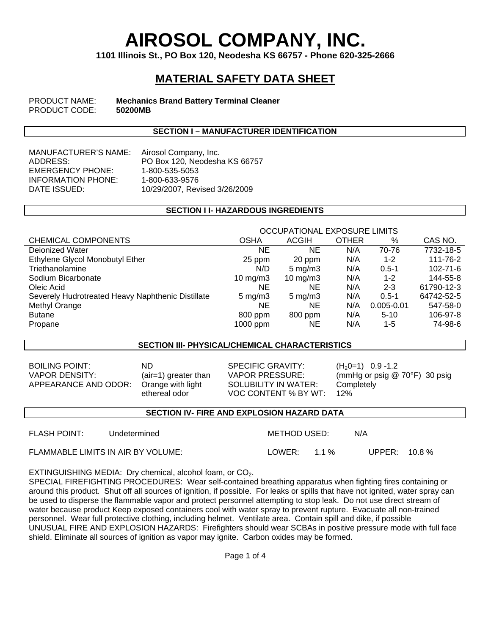# **AIROSOL COMPANY, INC.**

**1101 Illinois St., PO Box 120, Neodesha KS 66757 - Phone 620-325-2666** 

# **MATERIAL SAFETY DATA SHEET**

PRODUCT NAME: **Mechanics Brand Battery Terminal Cleaner PRODUCT CODE:** 

#### **SECTION I – MANUFACTURER IDENTIFICATION**

MANUFACTURER'S NAME: Airosol Company, Inc. EMERGENCY PHONE: 1-800-535-5053 INFORMATION PHONE: 1-800-633-9576<br>DATE ISSUED: 10/29/2007. Rev

ADDRESS: PO Box 120, Neodesha KS 66757 10/29/2007, Revised 3/26/2009

#### **SECTION I I- HAZARDOUS INGREDIENTS**

|                                                   | OCCUPATIONAL EXPOSURE LIMITS |                    |              |                |                |  |
|---------------------------------------------------|------------------------------|--------------------|--------------|----------------|----------------|--|
| <b>CHEMICAL COMPONENTS</b>                        | <b>OSHA</b>                  | <b>ACGIH</b>       | <b>OTHER</b> | %              | CAS NO.        |  |
| Dejonized Water                                   | <b>NE</b>                    | NΕ                 | N/A          | 70-76          | 7732-18-5      |  |
| Ethylene Glycol Monobutyl Ether                   | 25 ppm                       | 20 ppm             | N/A          | $1 - 2$        | 111-76-2       |  |
| Triethanolamine                                   | N/D                          | $5 \text{ mg/m}$ 3 | N/A          | $0.5 - 1$      | $102 - 71 - 6$ |  |
| Sodium Bicarbonate                                | 10 mg/m $3$                  | 10 mg/m $3$        | N/A          | $1 - 2$        | 144-55-8       |  |
| Oleic Acid                                        | <b>NE</b>                    | ΝE                 | N/A          | $2 - 3$        | 61790-12-3     |  |
| Severely Hudrotreated Heavy Naphthenic Distillate | $5 \text{ mg/m}$ 3           | $5 \text{ mg/m}$ 3 | N/A          | $0.5 - 1$      | 64742-52-5     |  |
| Methyl Orange                                     | NE.                          | ΝE                 | N/A          | $0.005 - 0.01$ | 547-58-0       |  |
| <b>Butane</b>                                     | 800 ppm                      | 800 ppm            | N/A          | $5-10$         | 106-97-8       |  |
| Propane                                           | $1000$ ppm                   | ΝE                 | N/A          | 1-5            | 74-98-6        |  |

## **SECTION III- PHYSICAL/CHEMICAL CHARACTERISTICS**

BOILING POINT: ND<br>VAPOR DENSITY: (air=1) greater than VAPOR PRESSURE: (mmHg or psig @ APPEARANCE AND ODOR: Orange with light

ethereal odor

SOLUBILITY IN WATER: VOC CONTENT % BY WT:

VAPOR DENSITY: (air=1) greater than VAPOR PRESSURE: (mmHg or psig @ 70°F) 30 psig **Completely** 12%

#### **SECTION IV- FIRE AND EXPLOSION HAZARD DATA**

FLASH POINT: Undetermined METHOD USED: N/A FLAMMABLE LIMITS IN AIR BY VOLUME: LOWER: 1.1 % UPPER: 10.8 %

EXTINGUISHING MEDIA: Dry chemical, alcohol foam, or CO<sub>2</sub>.

SPECIAL FIREFIGHTING PROCEDURES: Wear self-contained breathing apparatus when fighting fires containing or around this product. Shut off all sources of ignition, if possible. For leaks or spills that have not ignited, water spray can be used to disperse the flammable vapor and protect personnel attempting to stop leak. Do not use direct stream of water because product Keep exposed containers cool with water spray to prevent rupture. Evacuate all non-trained personnel. Wear full protective clothing, including helmet. Ventilate area. Contain spill and dike, if possible UNUSUAL FIRE AND EXPLOSION HAZARDS: Firefighters should wear SCBAs in positive pressure mode with full face shield. Eliminate all sources of ignition as vapor may ignite. Carbon oxides may be formed.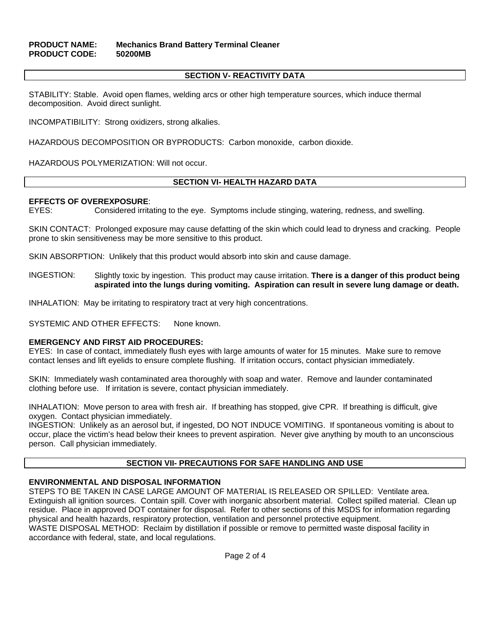# **PRODUCT NAME: Mechanics Brand Battery Terminal Cleaner PRODUCT CODE: 50200MB**

#### **SECTION V- REACTIVITY DATA**

STABILITY: Stable. Avoid open flames, welding arcs or other high temperature sources, which induce thermal decomposition. Avoid direct sunlight.

INCOMPATIBILITY: Strong oxidizers, strong alkalies.

HAZARDOUS DECOMPOSITION OR BYPRODUCTS: Carbon monoxide, carbon dioxide.

HAZARDOUS POLYMERIZATION: Will not occur.

#### **SECTION VI- HEALTH HAZARD DATA**

#### **EFFECTS OF OVEREXPOSURE**:

EYES: Considered irritating to the eye. Symptoms include stinging, watering, redness, and swelling.

SKIN CONTACT: Prolonged exposure may cause defatting of the skin which could lead to dryness and cracking. People prone to skin sensitiveness may be more sensitive to this product.

SKIN ABSORPTION: Unlikely that this product would absorb into skin and cause damage.

INGESTION: Slightly toxic by ingestion. This product may cause irritation. **There is a danger of this product being aspirated into the lungs during vomiting. Aspiration can result in severe lung damage or death.** 

INHALATION: May be irritating to respiratory tract at very high concentrations.

SYSTEMIC AND OTHER EFFECTS: None known.

#### **EMERGENCY AND FIRST AID PROCEDURES:**

EYES: In case of contact, immediately flush eyes with large amounts of water for 15 minutes. Make sure to remove contact lenses and lift eyelids to ensure complete flushing. If irritation occurs, contact physician immediately.

SKIN: Immediately wash contaminated area thoroughly with soap and water. Remove and launder contaminated clothing before use. If irritation is severe, contact physician immediately.

INHALATION: Move person to area with fresh air. If breathing has stopped, give CPR. If breathing is difficult, give oxygen. Contact physician immediately.

INGESTION: Unlikely as an aerosol but, if ingested, DO NOT INDUCE VOMITING. If spontaneous vomiting is about to occur, place the victim's head below their knees to prevent aspiration. Never give anything by mouth to an unconscious person. Call physician immediately.

#### **SECTION VII- PRECAUTIONS FOR SAFE HANDLING AND USE**

#### **ENVIRONMENTAL AND DISPOSAL INFORMATION**

STEPS TO BE TAKEN IN CASE LARGE AMOUNT OF MATERIAL IS RELEASED OR SPILLED: Ventilate area. Extinguish all ignition sources. Contain spill. Cover with inorganic absorbent material. Collect spilled material. Clean up residue. Place in approved DOT container for disposal. Refer to other sections of this MSDS for information regarding physical and health hazards, respiratory protection, ventilation and personnel protective equipment. WASTE DISPOSAL METHOD: Reclaim by distillation if possible or remove to permitted waste disposal facility in accordance with federal, state, and local regulations.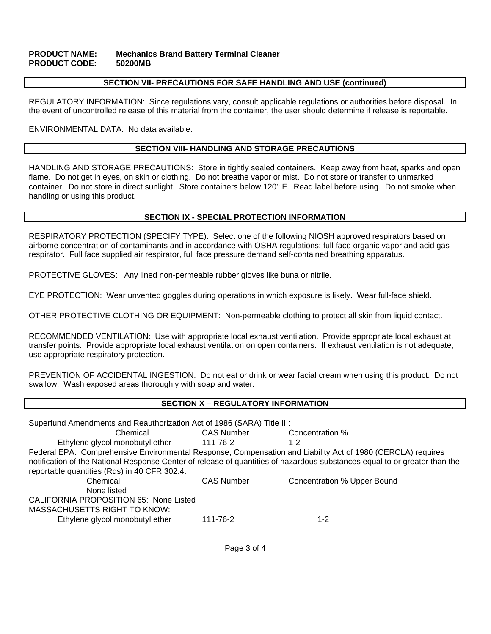#### **PRODUCT NAME: Mechanics Brand Battery Terminal Cleaner PRODUCT CODE: 50200MB**

#### **SECTION VII- PRECAUTIONS FOR SAFE HANDLING AND USE (continued)**

REGULATORY INFORMATION: Since regulations vary, consult applicable regulations or authorities before disposal. In the event of uncontrolled release of this material from the container, the user should determine if release is reportable.

ENVIRONMENTAL DATA: No data available.

## **SECTION VIII- HANDLING AND STORAGE PRECAUTIONS**

HANDLING AND STORAGE PRECAUTIONS: Store in tightly sealed containers. Keep away from heat, sparks and open flame. Do not get in eyes, on skin or clothing. Do not breathe vapor or mist. Do not store or transfer to unmarked container. Do not store in direct sunlight. Store containers below 120° F. Read label before using. Do not smoke when handling or using this product.

#### **SECTION IX - SPECIAL PROTECTION INFORMATION**

RESPIRATORY PROTECTION (SPECIFY TYPE): Select one of the following NIOSH approved respirators based on airborne concentration of contaminants and in accordance with OSHA regulations: full face organic vapor and acid gas respirator. Full face supplied air respirator, full face pressure demand self-contained breathing apparatus.

PROTECTIVE GLOVES: Any lined non-permeable rubber gloves like buna or nitrile.

EYE PROTECTION: Wear unvented goggles during operations in which exposure is likely. Wear full-face shield.

OTHER PROTECTIVE CLOTHING OR EQUIPMENT: Non-permeable clothing to protect all skin from liquid contact.

RECOMMENDED VENTILATION: Use with appropriate local exhaust ventilation. Provide appropriate local exhaust at transfer points. Provide appropriate local exhaust ventilation on open containers. If exhaust ventilation is not adequate, use appropriate respiratory protection.

PREVENTION OF ACCIDENTAL INGESTION: Do not eat or drink or wear facial cream when using this product. Do not swallow. Wash exposed areas thoroughly with soap and water.

# **SECTION X – REGULATORY INFORMATION**

| Superfund Amendments and Reauthorization Act of 1986 (SARA) Title III:                                                     |                   |                             |  |  |  |  |  |
|----------------------------------------------------------------------------------------------------------------------------|-------------------|-----------------------------|--|--|--|--|--|
| Chemical                                                                                                                   | <b>CAS Number</b> | Concentration %             |  |  |  |  |  |
| Ethylene glycol monobutyl ether                                                                                            | 111-76-2          | 1-2                         |  |  |  |  |  |
| Federal EPA: Comprehensive Environmental Response, Compensation and Liability Act of 1980 (CERCLA) requires                |                   |                             |  |  |  |  |  |
| notification of the National Response Center of release of quantities of hazardous substances equal to or greater than the |                   |                             |  |  |  |  |  |
| reportable quantities (Rqs) in 40 CFR 302.4.                                                                               |                   |                             |  |  |  |  |  |
| Chemical                                                                                                                   | <b>CAS Number</b> | Concentration % Upper Bound |  |  |  |  |  |
| None listed                                                                                                                |                   |                             |  |  |  |  |  |
| CALIFORNIA PROPOSITION 65: None Listed                                                                                     |                   |                             |  |  |  |  |  |
| <b>MASSACHUSETTS RIGHT TO KNOW:</b>                                                                                        |                   |                             |  |  |  |  |  |
| Ethylene glycol monobutyl ether                                                                                            | 111-76-2          | $1 - 2$                     |  |  |  |  |  |